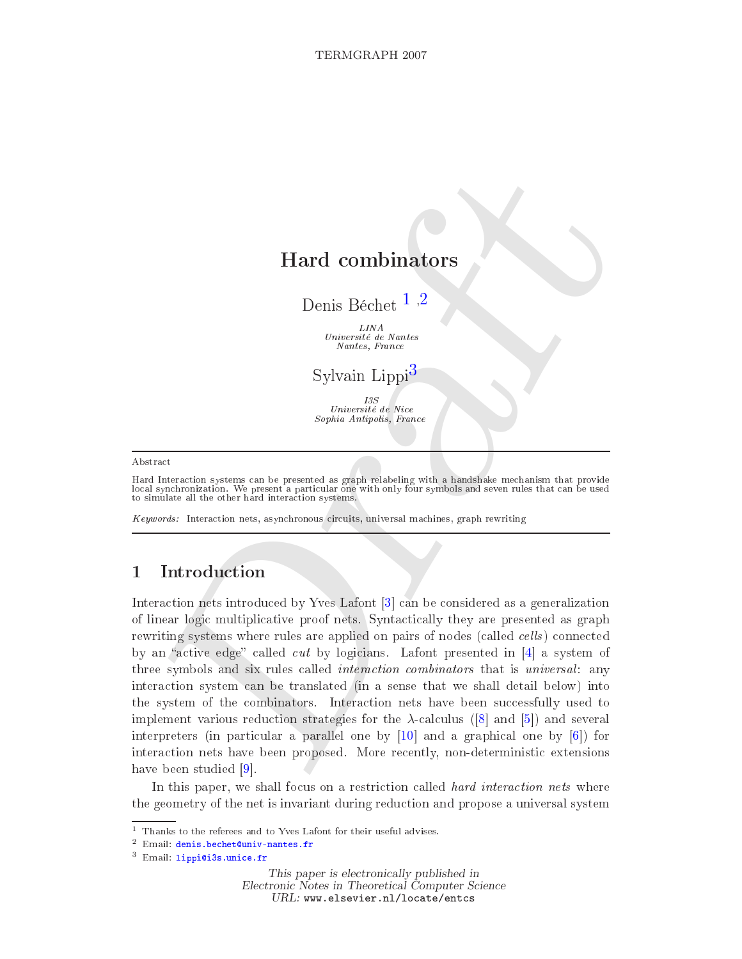# Hard ombinators

Denis Béchet<sup>1,2</sup>

LINA Université de Nantes Nantes, Fran
e

Sylvain Lippi<sup>3</sup>

 $\begin{array}{c}\n 13S \\
 University\ de\ Note\n \end{array}$ Sophia Antipolis, France

#### Abstra
t

Hard Intera
tion systems an be presented as graph relabeling with a handshake me
hanism that provide local synchronization. We present a particular one with only four symbols and seven rules that can be used to simulate all the other hard intera
tion systems.

Keywords: Interaction nets, asynchronous circuits, universal machines, graph rewriting

## 1 Introdu
tion

 $\begin{tabular}{l|c|c|c} \multicolumn{1}{l}{\textbf{Hard combinators}} \\ \multicolumn{1}{l}{\textbf{Hard combinators}} \\ \multicolumn{1}{l}{\textbf{Denis Béchet}}^{-1/2} & \multicolumn{1}{l}{\textbf{1.2}} \\ \multicolumn{1}{l}{\textbf{Dmis Béchet}}^{-1/2} & \multicolumn{1}{l}{\textbf{2.2}} \\ \multicolumn{1}{l}{\textbf{Dupi3}} & \multicolumn{1}{l}{\textbf{2.2}} \\ \multicolumn{1}{l}{\textbf{2.2}} \\ \multicolumn{1}{l}{\textbf{2.2}} \\ \multicolumn{1}{l}{$  $\begin{tabular}{l|c|c|c} \multicolumn{1}{l}{\textbf{Hard combinators}} \\ \multicolumn{1}{l}{\textbf{Hard combinators}} \\ \multicolumn{1}{l}{\textbf{Denis Béchet}}^{-1/2} & \multicolumn{1}{l}{\textbf{1.2}} \\ \multicolumn{1}{l}{\textbf{Dmis Béchet}}^{-1/2} & \multicolumn{1}{l}{\textbf{2.2}} \\ \multicolumn{1}{l}{\textbf{Dupi3}} & \multicolumn{1}{l}{\textbf{2.2}} \\ \multicolumn{1}{l}{\textbf{2.2}} \\ \multicolumn{1}{l}{\textbf{2.2}} \\ \multicolumn{1}{l}{$  $\begin{tabular}{l|c|c|c} \multicolumn{1}{l}{\textbf{Hard combinators}} \\ \multicolumn{1}{l}{\textbf{Hard combinators}} \\ \multicolumn{1}{l}{\textbf{Denis Béchet}}^{-1/2} & \multicolumn{1}{l}{\textbf{1.2}} \\ \multicolumn{1}{l}{\textbf{Dmis Béchet}}^{-1/2} & \multicolumn{1}{l}{\textbf{2.2}} \\ \multicolumn{1}{l}{\textbf{Dupi3}} & \multicolumn{1}{l}{\textbf{2.2}} \\ \multicolumn{1}{l}{\textbf{2.2}} \\ \multicolumn{1}{l}{\textbf{2.2}} \\ \multicolumn{1}{l}{$ Interaction nets introduced by Yves Lafont  $\lceil 3 \rceil$  can be considered as a generalization of linear logi multipli
ative proof nets. Synta
ti
ally they are presented as graph rewriting systems where rules are applied on pairs of nodes (called *cells*) connected by an "active edge" called cut by logicians. Lafont presented in  $[4]$  a system of three symbols and six rules called *interaction combinators* that is *universal*: any intera
tion system an be translated (in a sense that we shall detail below) into the system of the combinators. Interaction nets have been successfully used to implement various reduction strategies for the  $\lambda$ -calculus ([8] and [5]) and several interpreters (in particular a parallel one by  $[10]$  and a graphical one by  $[6]$ ) for intera
tion nets have been proposed. More re
ently, non-deterministi extensions have been studied  $[9]$ .

In this paper, we shall focus on a restriction called *hard interaction nets* where the geometry of the net is invariant during redu
tion and propose a universal system

This paper is electronically published in Electronic Notes in Theoretical Computer Science URL: www.elsevier.nl/locate/entcs

 $1$  Thanks to the referees and to Yves Lafont for their useful advises.

 $^2$  Email: denis.bechet@univ-nantes.fr

<sup>&</sup>lt;sup>3</sup> Email: lippi@i3s.unice.fr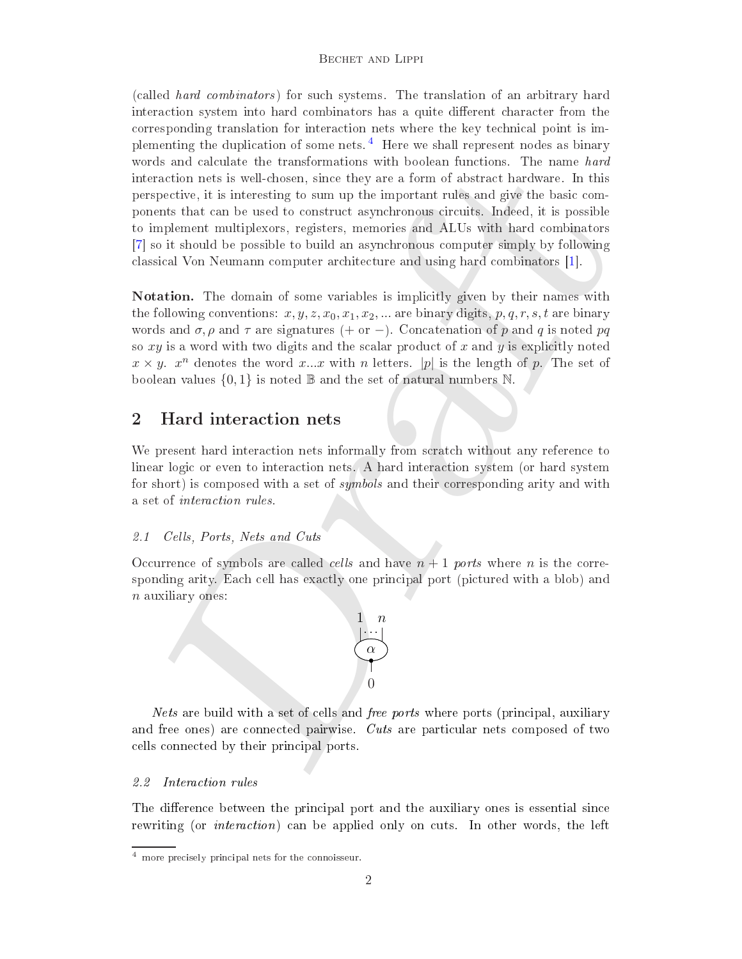<span id="page-1-0"></span>is any attacted user states and someon summation of the contract of the matter and the control methods. The nature some of the important rules and give the best control of the stress in the important rules and give the be (
alled hard ombinators ) for su
h systems. The translation of an arbitrary hard interaction system into hard combinators has a quite different character from the orresponding translation for intera
tion nets where the key te
hni
al point is im-plementing the duplication of some nets.<sup>[4](#page-1-1)</sup> Here we shall represent nodes as binary words and calculate the transformations with boolean functions. The name hard intera
tion nets is wellhosen, sin
e they are a form of abstra
t hardware. In this perspective, it is interesting to sum up the important rules and give the basic components that an be used to onstru
t asyn
hronous ir
uits. Indeed, it is possible to implement multiplexors, registers, memories and ALUs with hard ombinators [7] so it should be possible to build an asynchronous computer simply by following classical Von Neumann computer architecture and using hard combinators [1].

Notation. The domain of some variables is impli
itly given by their names with the following conventions:  $x, y, z, x_0, x_1, x_2, \dots$  are binary digits, p,q,r,s,t are binary words and  $\sigma$ ,  $\rho$  and  $\tau$  are signatures (+ or -). Concatenation of p and q is noted pq so  $xy$  is a word with two digits and the scalar product of x and y is explicitly noted  $x \times y$ .  $x^n$  denotes the word x...x with n letters. |p| is the length of p. The set of boolean values  $\{0,1\}$  is noted  $\mathbb B$  and the set of natural numbers N.

## 2 Hard interaction nets

We present hard interaction nets informally from scratch without any reference to linear logic or even to interaction nets. A hard interaction system (or hard system for short) is composed with a set of *symbols* and their corresponding arity and with a set of intera
tion rules.

#### Cells, Ports, Nets and Cuts  $2.1$

Occurrence of symbols are called *cells* and have  $n + 1$  *ports* where *n* is the corresponding arity. Each cell has exactly one principal port (pictured with a blob) and  $n$  auxiliary ones:



Nets are build with a set of cells and *free ports* where ports (principal, auxiliary and free ones) are connected pairwise. Cuts are particular nets composed of two ells onne
ted by their prin
ipal ports.

#### 2.2 Interaction rules

The difference between the principal port and the auxiliary ones is essential since rewriting (or *interaction*) can be applied only on cuts. In other words, the left

<span id="page-1-1"></span><sup>4</sup> more pre
isely prin
ipal nets for the onnoisseur.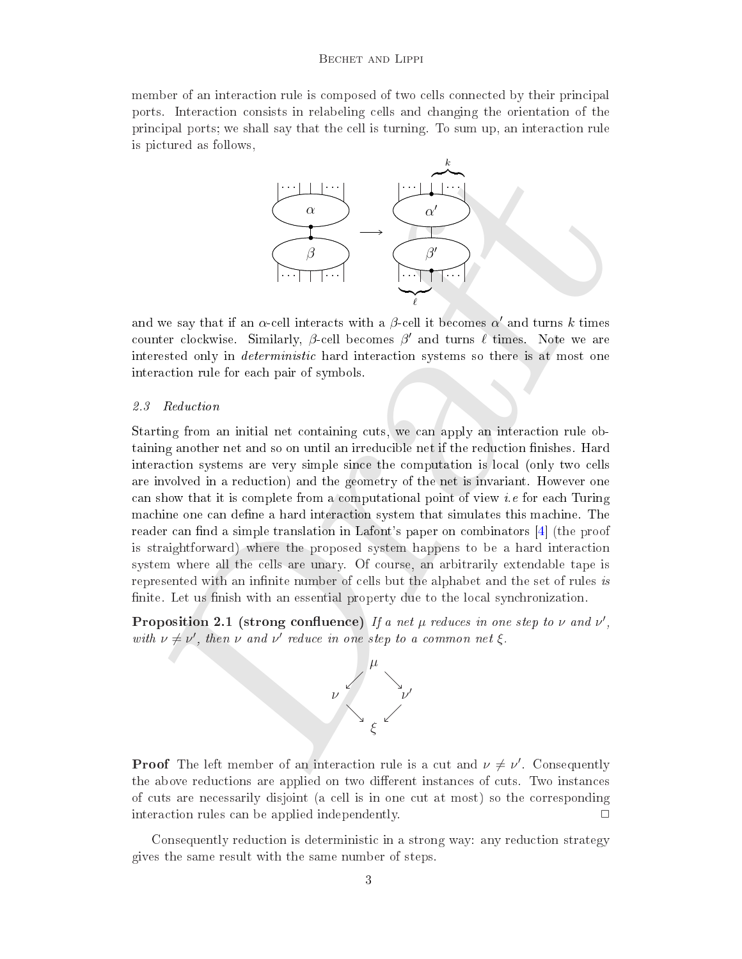member of an interaction rule is composed of two cells connected by their principal ports. Intera
tion onsists in relabeling ells and hanging the orientation of the prin
ipal ports; we shall say that the ell is turning. To sum up, an intera
tion rule is pi
tured as follows,



and we say that if an  $\alpha$ -cell interacts with a  $\beta$ -cell it becomes  $\alpha'$  and turns  $k$  times counter clockwise. Similarly,  $\beta$ -cell becomes  $\beta'$  and turns  $\ell$  times. Note we are interested only in *deterministic* hard interaction systems so there is at most one interaction rule for each pair of symbols.

#### 2.3 Reduction

we say that if it an  $\alpha$ -cell interacts with a  $\beta$ -cell it becomes a' and turns k times<br>we say that if an  $\alpha$ -cell interacts with a  $\beta$ -cell it becomes a' and turns k times<br>test clockwise. Similarly,  $\beta$ -cell becomes Starting from an initial net containing cuts, we can apply an interaction rule obtaining another net and so on until an irreducible net if the reduction finishes. Hard intera
tion systems are very simple sin
e the omputation is lo
al (only two ells are involved in a redu
tion) and the geometry of the net is invariant. However one can show that it is complete from a computational point of view *i.e* for each Turing machine one can define a hard interaction system that simulates this machine. The reader can find a simple translation in Lafont's paper on combinators  $[4]$  (the proof is straightforward) where the proposed system happens to be a hard intera
tion system where all the ells are unary. Of ourse, an arbitrarily extendable tape is represented with an infinite number of cells but the alphabet and the set of rules is finite. Let us finish with an essential property due to the local synchronization.

Proposition 2.1 (strong confluence) If a net  $\mu$  reduces in one step to  $\nu$  and  $\nu'$ , with  $\nu \neq \nu'$ , then  $\nu$  and  $\nu'$  reduce in one step to a common net  $\xi$ .



**Proof** The left member of an interaction rule is a cut and  $\nu \neq \nu'$ . Consequently the above reductions are applied on two different instances of cuts. Two instances of uts are ne
essarily disjoint (a ell is in one ut at most) so the orresponding interaction rules can be applied independently.

Consequently reduction is deterministic in a strong way: any reduction strategy gives the same result with the same number of steps.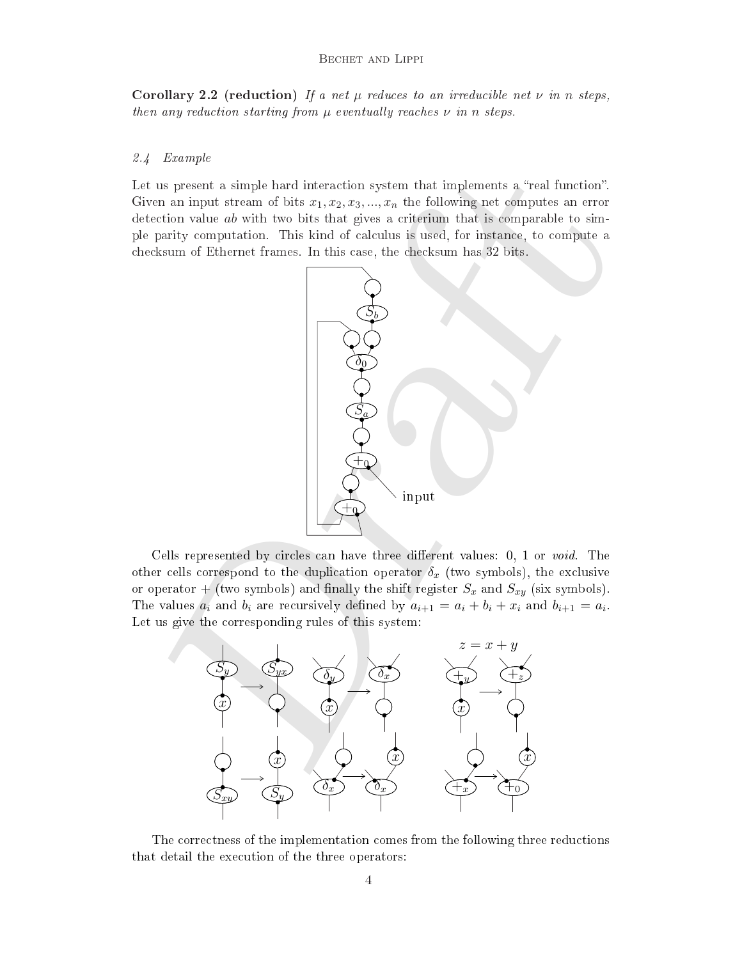Corollary 2.2 (reduction) If a net  $\mu$  reduces to an irreducible net  $\nu$  in n steps, then any reduction starting from  $\mu$  eventually reaches  $\nu$  in n steps.

#### 2.4 Example

Let us present a simple hard interaction system that implements a "real function". Given an input stream of bits  $x_1, x_2, x_3, ..., x_n$  the following net computes an error detection value *ab* with two bits that gives a criterium that is comparable to simple parity computation. This kind of calculus is used, for instance, to compute a checksum of Ethernet frames. In this case, the checksum has 32 bits.



Cells represented by circles can have three different values: 0, 1 or void. The other cells correspond to the duplication operator  $\delta_x$  (two symbols), the exclusive or operator + (two symbols) and finally the shift register  $S_x$  and  $S_{xy}$  (six symbols). The values  $a_i$  and  $b_i$  are recursively defined by  $a_{i+1} = a_i + b_i + x_i$  and  $b_{i+1} = a_i$ . Let us give the orresponding rules of this system:



The orre
tness of the implementation omes from the following three redu
tions that detail the exe
ution of the three operators: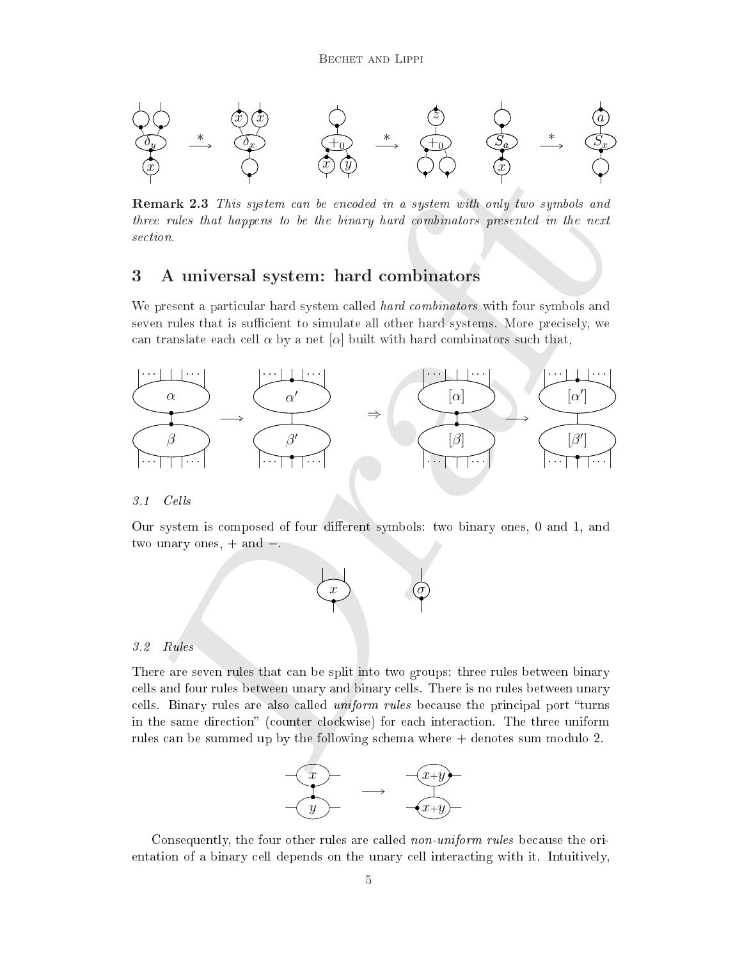

remark 2.3 This system with two streament of a system with a streament and a system with three rules that happens to be the binary hard ombinators presented in the next section.

## <span id="page-4-0"></span>3 A universal system: hard ombinators

We present a particular hard system called *hard combinators* with four symbols and seven rules that is sufficient to simulate all other hard systems. More precisely, we can translate each cell  $\alpha$  by a net  $[\alpha]$  built with hard combinators such that,



#### $3.1$  Cells

Our system is composed of four different symbols: two binary ones, 0 and 1, and two unary ones,  $+$  and  $-$ .



#### 3.2 Rules

There are seven rules that an be split into two groups: three rules between binary ells and four rules between unary and binary ells. There is no rules between unary cells. Binary rules are also called *uniform rules* because the principal port "turns" in the same direction" (counter clockwise) for each interaction. The three uniform rules an be summed up by the following s
hema where + denotes sum modulo 2.



Consequently, the four other rules are called *non-uniform rules* because the orientation of a binary cell depends on the unary cell interacting with it. Intuitively,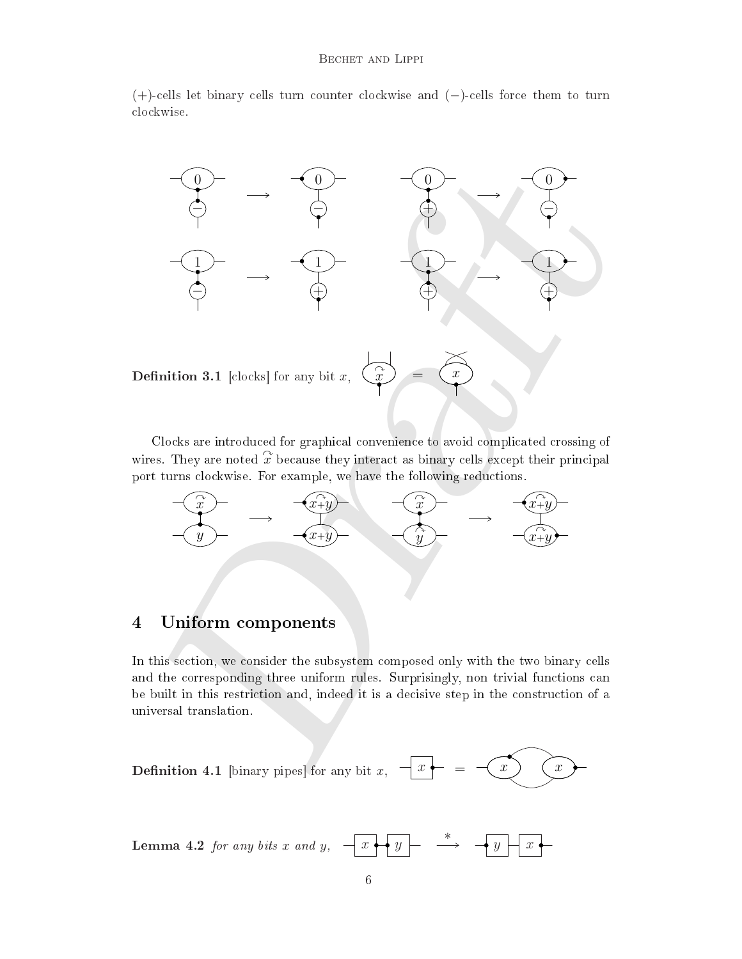#### Bechet and Lippi

(+)ells let binary ells turn ounter lo
kwise and (−)ells for
e them to turn lo
kwise.



**Definition 3.1** [clocks] for any bit 
$$
x
$$
,  $\overrightarrow{x}$  =  $\overrightarrow{x}$ 

Clocks are introduced for graphical convenience to avoid complicated crossing of wires. They are noted  $\hat{x}$  because they interact as binary cells except their principal port turns clockwise. For example, we have the following reductions.



## 4 Uniform omponents

In this se
tion, we onsider the subsystem omposed only with the two binary ells and the corresponding three uniform rules. Surprisingly, non trivial functions can be built in this restriction and, indeed it is a decisive step in the construction of a universal translation.

**Definition 4.1** [binary pipes] for any bit 
$$
x
$$
,  $-x - x - x$ 

**Lemma 4.2** for any bits  $x$  and  $y$ , ∗  $x \mapsto y \mapsto \rightarrow y \mapsto x$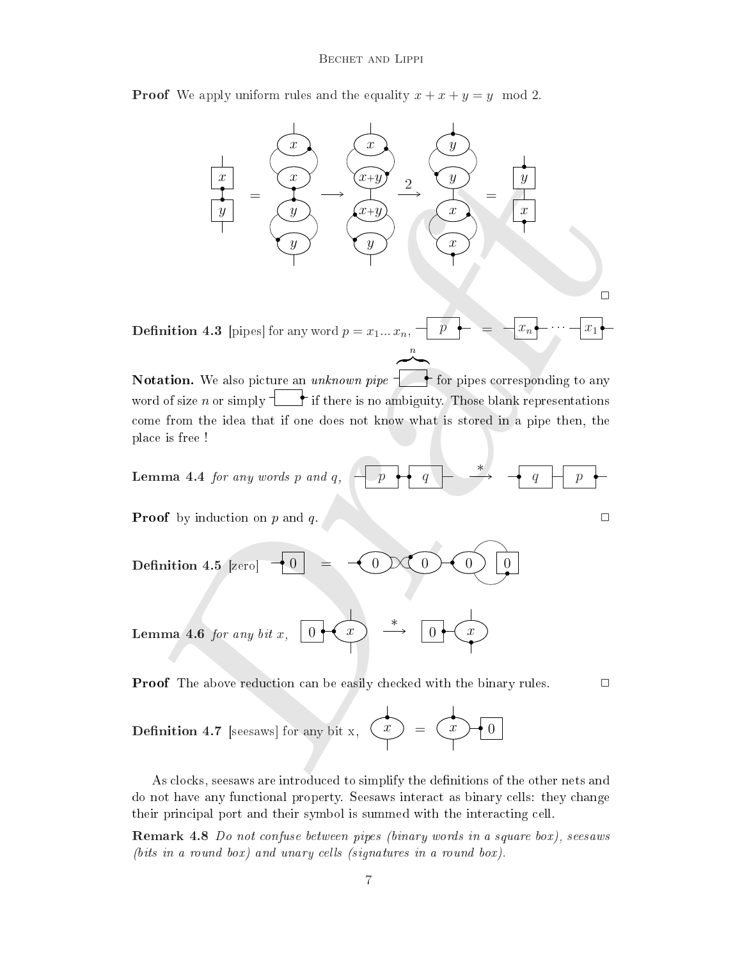**Proof** We apply uniform rules and the equality  $x + x + y = y \mod 2$ .

$$
\frac{x}{y} = \frac{x}{y} \qquad \frac{x}{x+y} \qquad \frac{y}{x} = \frac{y}{y}
$$
\n  
\nfunction 4.3 [pipes] for any word  $p = x_1...x_n$ ,  $\frac{p}{y} = \frac{x_n}{x}$  ...  $\frac{x_1}{x_1}$ ]\n  
\nfunction. We also picture an unknown pipe  $\frac{x}{y}$  for pipes corresponding to any  
\nd of size *n* or simply  $\frac{1}{y}$  if there is no ambiguity. Those blank representations  
\nwe from the idea that if one does not know what is stored in a pipe then, the  
\nuse is free !\n  
\nsum a 4.4 for any words *p* and *q*,  $\frac{p}{y} = \frac{q}{y}$   $\frac{x}{y} = \frac{q}{q} \qquad \frac{p}{p}$ \n  
\nfunction 4.5 [zero]  $\frac{1}{y}$  =  $\frac{1}{y}$   $\frac{1}{y}$   $\frac{1}{y}$   $\frac{1}{y}$   $\frac{1}{y}$   $\frac{1}{y}$   $\frac{1}{y}$   $\frac{1}{y}$   $\frac{1}{y}$   $\frac{1}{y}$   $\frac{1}{y}$   $\frac{1}{y}$   $\frac{1}{y}$   $\frac{1}{y}$   $\frac{1}{y}$   $\frac{1}{y}$   $\frac{1}{y}$   $\frac{1}{y}$   $\frac{1}{y}$   $\frac{1}{y}$   $\frac{1}{y}$   $\frac{1}{y}$   $\frac{1}{y}$   $\frac{1}{y}$   $\frac{1}{y}$   $\frac{1}{y}$   $\frac{1}{y}$   $\frac{1}{y}$   $\frac{1}{y}$   $\frac{1}{y}$   $\frac{1}{y}$   $\frac{1}{y}$   $\frac{1}{y}$   $\frac{1}{y}$   $\frac{1}{y}$   $\frac{1}{y}$   $\frac{1}{y}$   $\frac{1}{y}$   $\frac{1}{y}$   $\frac{1}{y}$   $\frac{1}{y}$   $\frac{1}{y}$   $\$ 

**Definition 4.3** [pipes] for any word  $p = x_1...x_n$ ,  $p + \frac{1}{n} = -x_n$  $\cdot - x_1$ n  $\overline{\phantom{a}}$ 

Notation. We also pi
ture an unknown pipe for pipes orresponding to any word of size n or simply  $\downarrow$  if there is no ambiguity. Those blank representations ome from the idea that if one does not know what is stored in a pipe then, the pla
e is free !

**Lemma 4.4** for any words p and q, 
$$
\boxed{p \rightarrow q}
$$
  $\rightarrow$   $\boxed{q}$   $\boxed{p}$ 

**Proof** by induction on p and q.  $\Box$ 

**Definition 4.5 [zero] 
$$
\begin{array}{|c|c|}\n\hline\n0 & = & \begin{array}{|c|c|}\n\hline\n0 & \begin{array}{|c|c|}\n\hline\n0 & \begin{array}{|c|}\n\hline\n0 & \begin{array}{|c|}\n\hline\n0 & \begin{array}{|c|}\n\hline\n0 & \begin{array}{|c|}\n\hline\n0 & \begin{array}{|c|}\n\hline\n0 & \begin{array}{|c|}\n\hline\n0 & \begin{array}{|c|}\n\hline\n0 & \begin{array}{|c|}\n\hline\n0 & \begin{array}{|c|}\n\hline\n0 & \begin{array}{|c|}\n\hline\n0 & \begin{array}{|c|}\n\hline\n0 & \begin{array}{|c|}\n\hline\n0 & \begin{array}{|c|}\n\hline\n0 & \begin{array}{|c|}\n\hline\n0 & \begin{array}{|c|}\n\hline\n0 & \begin{array}{|c|}\n\hline\n0 & \begin{array}{|c|}\n\hline\n0 & \begin{array}{|c|}\n\hline\n0 & \begin{array}{|c|}\n\hline\n0 & \begin{array}{|c|}\n\hline\n0 & \begin{array}{|c|}\n\hline\n0 & \begin{array}{|c|}\n\hline\n0 & \begin{array}{|c|}\n\hline\n0 & \begin{array}{|c|}\n\hline\n0 & \begin{array}{|c|}\n\hline\n0 & \begin{array}{|c|}\n\hline\n0 & \begin{array}{|c|}\n\hline\n0 & \begin{array}{|c|}\n\hline\n0 & \begin{array}{|c|}\n\hline\n0 & \begin{array}{|c|}\n\hline\n0 & \begin{array}{|c|}\n\hline\n0 & \begin{array}{|c|}\n\hline\n0 & \begin{array}{|c|}\n\hline\n0 & \begin{array}{|c|}\n\hline\n0 & \begin{array}{|c|}\n\hline\n0 & \begin{array}{|c|}\n\hline\n0 & \begin{array}{|c|}\n\hline\n0 & \begin{array}{|c|}\n\hline\n0 & \end{array} & \end{array}\n\end{array}\n\end{array}
$$**

**Lemma 4.6** for any bit x,  $\begin{array}{c|c} 0 & \rightarrow & 0 \end{array}$ ∗  $x$   $\rightarrow$   $\rightarrow$   $\rightarrow$   $\rightarrow$   $\rightarrow$   $\rightarrow$   $\rightarrow$ 

**Proof** The above reduction can be easily checked with the binary rules.  $\Box$ 

 $\Box$ 

**Definition 4.7** [seesaws] for any bit x, 
$$
\begin{pmatrix} x \\ y \end{pmatrix} = \begin{pmatrix} x \\ 0 \end{pmatrix}
$$

As clocks, seesaws are introduced to simplify the definitions of the other nets and do not have any fun
tional property. Seesaws intera
t as binary ells: they hange their principal port and their symbol is summed with the interacting cell.

Remark 4.8 Do not onfuse between pipes (binary words in a square box), seesaws  $(bits \text{ in a round box})$  and unary cells (signatures in a round box).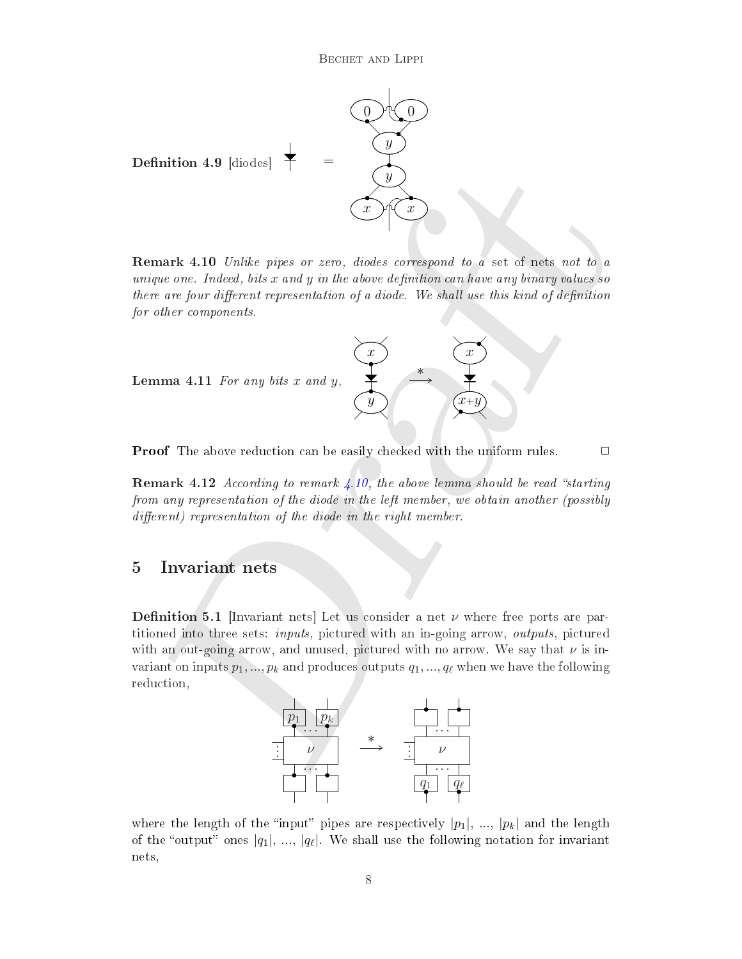

<span id="page-7-1"></span><span id="page-7-0"></span>Remark 4.10 Unlike pipes or zero, diodes orrespond to a set of nets not to a unique one. Indeed, bits  $x$  and  $y$  in the above definition can have any binary values so there are four different representation of a diode. We shall use this kind of definition for other components.



**Proof** The above reduction can be easily checked with the uniform rules.  $\Box$ 

remark 4.12 April 1992, the above lemma shows the above lemma starting the starting the starting the starting from any representation of the diode in the left member, we obtain another (possibly  $differential$  representation of the diode in the right member.

## 5 Invariant nets

**Definition 5.1** [Invariant nets] Let us consider a net  $\nu$  where free ports are partitioned into three sets: *inputs*, pictured with an in-going arrow, *outputs*, pictured with an out-going arrow, and unused, pictured with no arrow. We say that  $\nu$  is invariant on inputs  $p_1, ..., p_k$  and produces outputs  $q_1, ..., q_\ell$  when we have the following reduction,



where the length of the "input" pipes are respectively  $|p_1|, ..., |p_k|$  and the length of the "output" ones  $|q_1|, \ldots, |q_\ell|$ . We shall use the following notation for invariant nets,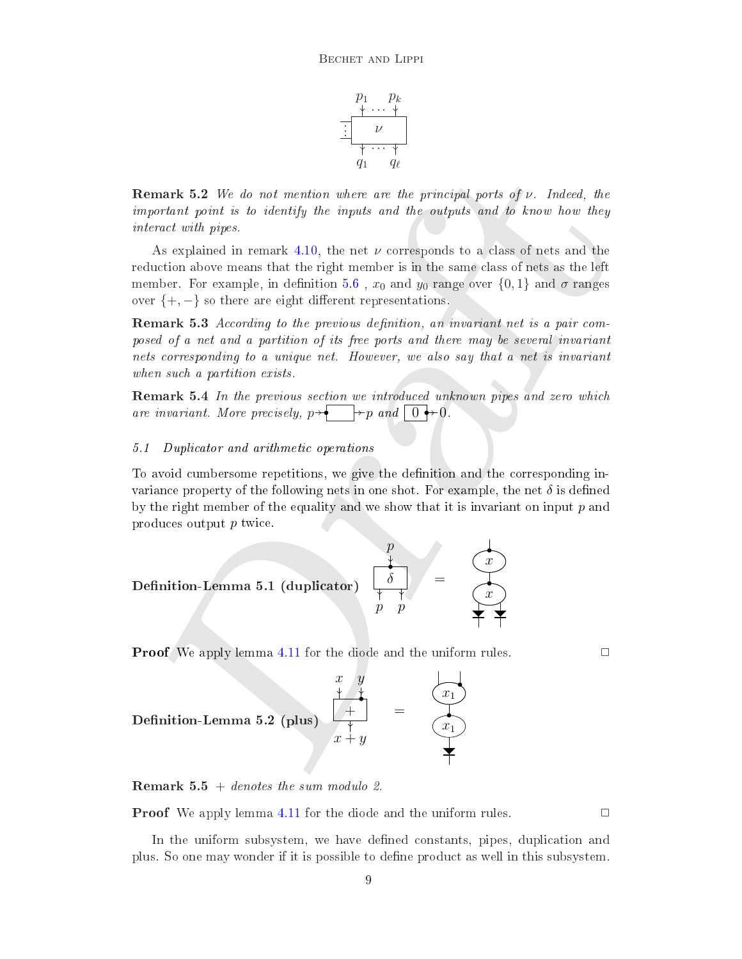

**Remark 5.2** We do not mention where are the principal ports of  $\nu$ . Indeed, the important point is to identify the inputs and the outputs and to know how they intera
t with pipes.

As explained in remark 4.10, the net  $\nu$  corresponds to a class of nets and the reduction above means that the right member is in the same class of nets as the left member. For example, in definition 5.6,  $x_0$  and  $y_0$  range over  $\{0,1\}$  and  $\sigma$  ranges over  $\{+, -\}$  so there are eight different representations.

Remark 5.3 A

ording to the previous denition, an invariant net is a pair omposed of a net and a partition of its free ports and there may be several invariant nets orresponding to a unique net. However, we also say that a net is invariant when such a partition exists.

remark 5.4 In the presence services with the services were well as a pipel with the control of the control of are invariant. More precisely,  $p \rightarrow \rightarrow p$  and  $\boxed{0 \rightarrow 0}$ .

#### $5.1$ Duplicator and arithmetic operations

To avoid umbersome repetitions, we give the denition and the orresponding invariance property of the following nets in one shot. For example, the net  $\delta$  is defined by the right member of the equality and we show that it is invariant on input  $p$  and produ
es output p twi
e.

Remark 5.2 We do not mention where are the principal ports of ν. Indeed, the important point is to identify the inputs and the outputs and to know how they interact with pipes.

\nAs explained in remark 4.10, the net ν corresponds to a class of nets and the member. For example, in definition 5.6, x<sub>0</sub> and y<sub>0</sub> range over {0, 1} and σ ranges over {+, -} so there are eight timether in the time per second.

\nRemark 5.3 According to the previous definition, an invariant net is a pair composed of a net and a partition of its free ports and there may be several invariant nets corresponding to a unique net. However, we also say that a net is invariant when such a partition exists.

\nRemark 5.4 In the previous definition, an invariant net is a pair composed of a net and a partition of its free ports and there may be several invariant when such a partition exists.

\nRemark 5.4 In the previous section we introduced unknown pipes and zero which are invariant. More precisely, 
$$
p \rightarrow \frac{1}{p}
$$
 and  $\frac{1}{0} \rightarrow 0$ .

\n5.1 Duplicator and arithmetic operations

\nTo avoid cumbersome repetitions, we give the definition and the corresponding invariance property of the following nets in one shot. For example, the net δ is defined by the right member of the equality and we show that it is invariant on input p and produces output p twice.

\nDefinition-Lemma 5.1 (duplicator)

\n
$$
\begin{array}{rcl}\np & y & z \\
p & z & y \\
p & + z & z\n\end{array}
$$

\nDefinition-Lemma 5.2 (plus)

\n
$$
\begin{array}{rcl}\nx & y & y \\
x & + y & z\n\end{array}
$$

\nDefinition-Lemma 5.2 (plus)

\n
$$
\begin{array}{rcl}\nx & y & y \\
y & + y & z\n\end{array}
$$

**Proof** We apply lemma 4.11 for the diode and the uniform rules.  $\Box$ 

$$
\begin{array}{ccc}\n & x & y \\
\downarrow & \downarrow & \downarrow \\
\text{Definition-Lemma 5.2 (plus)} & \downarrow & \downarrow \\
 & x + y & & \downarrow\n\end{array} = \begin{array}{ccc}\n & x & y \\
\downarrow & \downarrow & \downarrow \\
 & x + y & & \downarrow\n\end{array}
$$

**Remark 5.5** + denotes the sum modulo 2.

**Proof** We apply lemma [4.11](#page-7-1) for the diode and the uniform rules.  $\Box$ 

In the uniform subsystem, we have defined constants, pipes, duplication and plus. So one may wonder if it is possible to dene produ
t as well in this subsystem.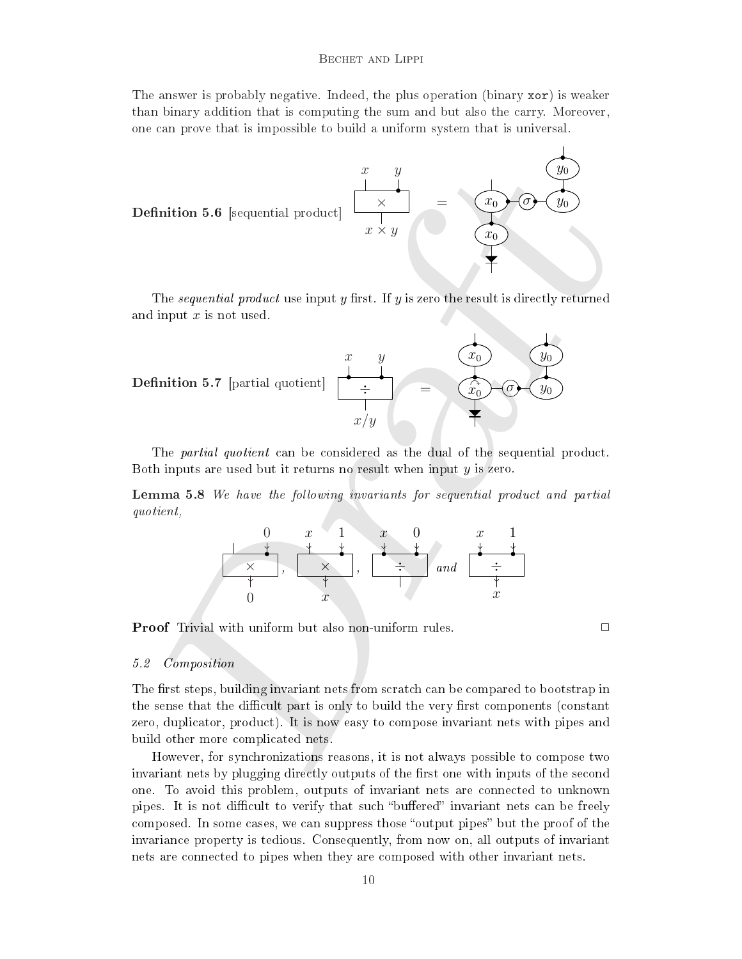The answer is probably negative. Indeed, the plus operation (binary  $\mathbf{x}$ or) is weaker than binary addition that is omputing the sum and but also the arry. Moreover, one an prove that is impossible to build a uniform system that is universal.

<span id="page-9-0"></span>

The *sequential product* use input y first. If y is zero the result is directly returned and input  $x$  is not used.



The *partial quotient* can be considered as the dual of the sequential product. Both inputs are used but it returns no result when input  $y$  is zero.

Lemma 5.8 We have the fol lowing invariants for sequential produ
t and partial quotient,

0 × 0 , x × x 1 , x 0 ÷ and 1 x x ÷

**Proof** Trivial with uniform but also non-uniform rules.  $\Box$ 

#### 5.2 Composition

The first steps, building invariant nets from scratch can be compared to bootstrap in the sense that the difficult part is only to build the very first components (constant zero, dupli
ator, produ
t). It is now easy to ompose invariant nets with pipes and build other more ompli
ated nets.

However, for synchronizations reasons, it is not always possible to compose two invariant nets by plugging directly outputs of the first one with inputs of the second one. To avoid this problem, outputs of invariant nets are onne
ted to unknown pipes. It is not difficult to verify that such "buffered" invariant nets can be freely composed. In some cases, we can suppress those "output pipes" but the proof of the invarian
e property is tedious. Consequently, from now on, all outputs of invariant nets are onne
ted to pipes when they are omposed with other invariant nets.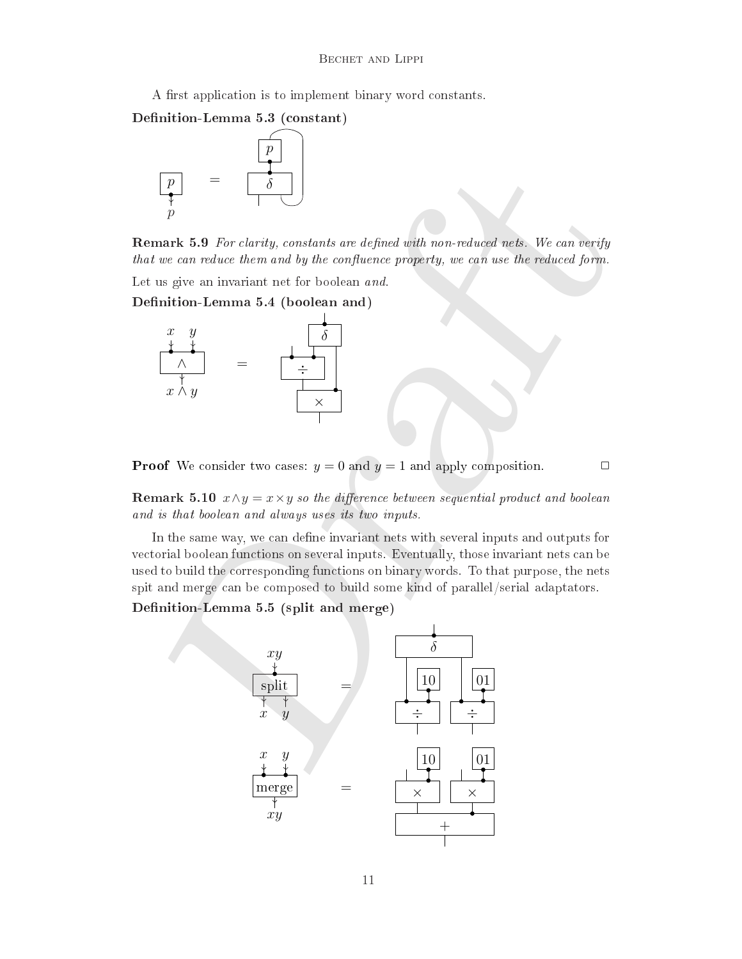A first application is to implement binary word constants.

Denition-Lemma 5.3 (
onstant)



Remark 5.9 For larity, onstants are dened with non-redu
ed nets. We an verify that we can reduce them and by the confluence property, we can use the reduced form.

Let us give an invariant net for boolean and.

Denition-Lemma 5.4 (boolean and)



**Proof** We consider two cases:  $y = 0$  and  $y = 1$  and apply composition.

### **Remark 5.10**  $x \wedge y = x \times y$  so the difference between sequential product and boolean and is that boolean and always uses its two inputs.

In the same way, we can define invariant nets with several inputs and outputs for vectorial boolean functions on several inputs. Eventually, those invariant nets can be used to build the orresponding fun
tions on binary words. To that purpose, the nets spit and merge an be omposed to build some kind of parallel/serial adaptators.

Denition-Lemma 5.5 (split and merge)

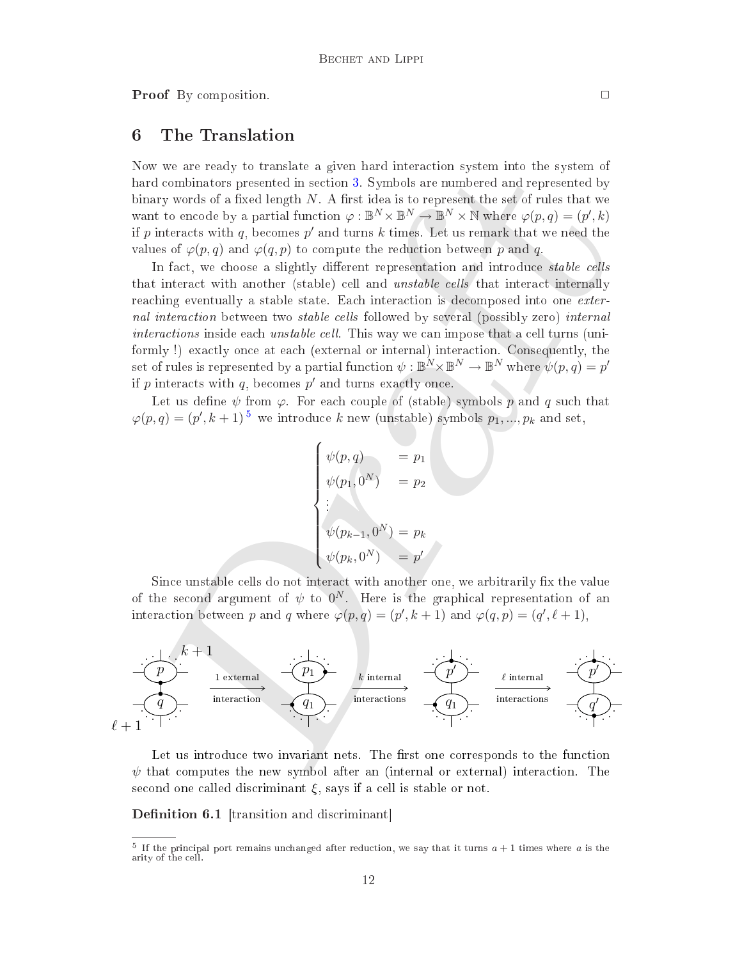**Proof** By composition.

## 6 The Translation

Now we are ready to translate a given hard intera
tion system into the system of hard combinators presented in section 3. Symbols are numbered and represented by binary words of a fixed length  $N$ . A first idea is to represent the set of rules that we want to encode by a partial function  $\varphi : \mathbb{B}^N \times \mathbb{B}^N \to \mathbb{B}^N \times \mathbb{N}$  where  $\varphi(p,q) = (p',k)$ if p interacts with q, becomes p' and turns k times. Let us remark that we need the values of  $\varphi(p,q)$  and  $\varphi(q,p)$  to compute the reduction between p and q.

v we are really to translate a given hard interaction system of the system of the system of a fixed length N. A first idea is to represented by ty overlar at an energy when fast or presented the set of rules that we need In fact, we choose a slightly different representation and introduce *stable cells* that interact with another (stable) cell and *unstable cells* that interact internally reaching eventually a stable state. Each interaction is decomposed into one *exter*nal interaction between two *stable cells* followed by several (possibly zero) internal interactions inside each *unstable cell*. This way we can impose that a cell turns (uniformly !) exa
tly on
e at ea
h (external or internal) intera
tion. Consequently, the set of rules is represented by a partial function  $\psi : \mathbb{B}^N \times \mathbb{B}^N \to \mathbb{B}^N$  where  $\psi(p,q) = p'$ if p interacts with q, becomes  $p'$  and turns exactly once.

Let us define  $\psi$  from  $\varphi$ . For each couple of (stable) symbols p and q such that  $\varphi(p,q) = (p', k+1)^{5}$  we introduce k new (unstable) symbols  $p_1, ..., p_k$  and set,

$$
\begin{cases}\n\psi(p,q) &= p_1 \\
\psi(p_1,0^N) &= p_2 \\
\vdots \\
\psi(p_{k-1},0^N) &= p_k \\
\psi(p_k,0^N) &= p'\n\end{cases}
$$

Since unstable cells do not interact with another one, we arbitrarily fix the value of the second argument of  $\psi$  to  $0^N$ . Here is the graphical representation of an interaction between p and q where  $\varphi(p,q) = (p', k + 1)$  and  $\varphi(q,p) = (q', \ell + 1)$ ,



Let us introduce two invariant nets. The first one corresponds to the function  $\psi$  that computes the new symbol after an (internal or external) interaction. The second one called discriminant  $\xi$ , says if a cell is stable or not.

Denition 6.1 [transition and dis
riminant℄

<span id="page-11-0"></span><sup>&</sup>lt;sup>5</sup> If the principal port remains unchanged after reduction, we say that it turns  $a + 1$  times where a is the arity of the ell.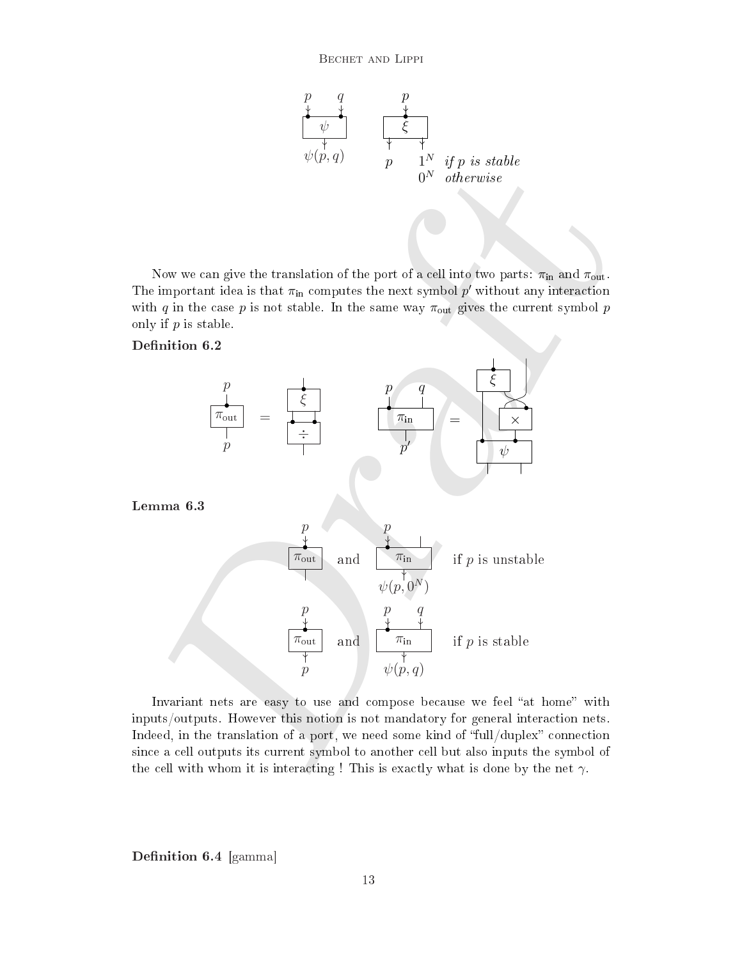

Now we can give the translation of the port of a cell into two parts:  $\pi_{\text{in}}$  and  $\pi_{\text{out}}$ . The important idea is that  $\pi_{\text{in}}$  computes the next symbol p' without any interaction with q in the case p is not stable. In the same way  $\pi_{\text{out}}$  gives the current symbol p only if  $p$  is stable.





Invariant nets are easy to use and compose because we feel "at home" with inputs/outputs. However this notion is not mandatory for general intera
tion nets. Indeed, in the translation of a port, we need some kind of "full/duplex" connection since a cell outputs its current symbol to another cell but also inputs the symbol of the cell with whom it is interacting ! This is exactly what is done by the net  $\gamma$ .

 $\mathbf{D}$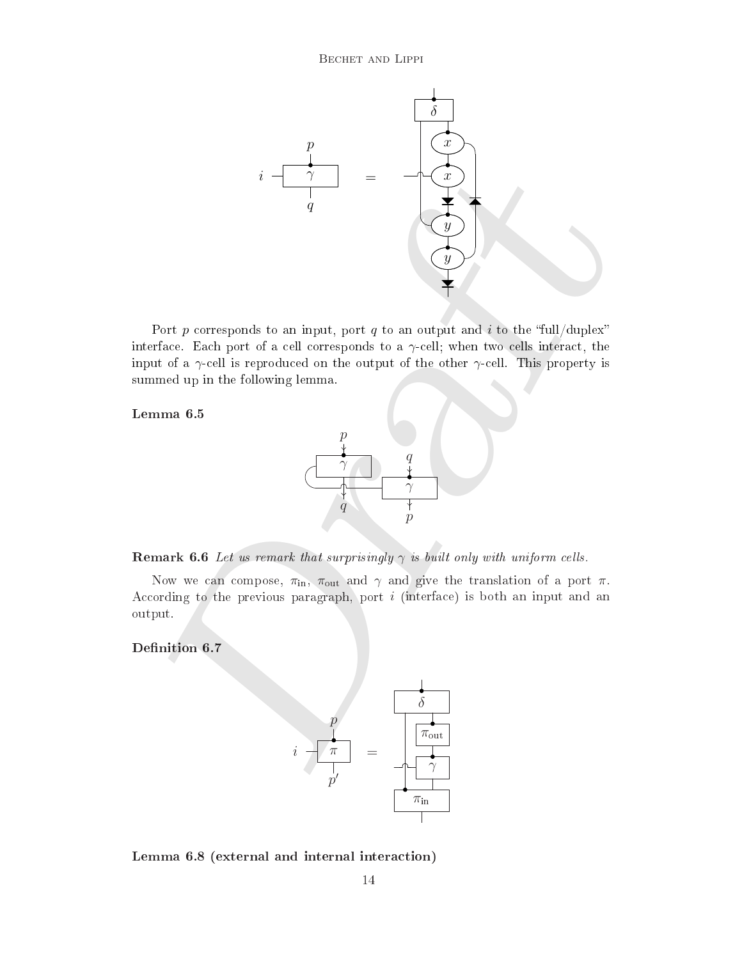

Port p corresponds to an input, port q to an output and i to the "full/duplex" interface. Each port of a cell corresponds to a  $\gamma$ -cell; when two cells interact, the input of a  $\gamma$ -cell is reproduced on the output of the other  $\gamma$ -cell. This property is summed up in the following lemma.

Lemma 6.5



**Remark 6.6** Let us remark that surprisingly  $\gamma$  is built only with uniform cells.

Now we can compose,  $\pi_{\text{in}}$ ,  $\pi_{\text{out}}$  and  $\gamma$  and give the translation of a port  $\pi$ . According to the previous paragraph, port  $i$  (interface) is both an input and an output.



<span id="page-13-0"></span>Lemma 6.8 (external and internal intera
tion)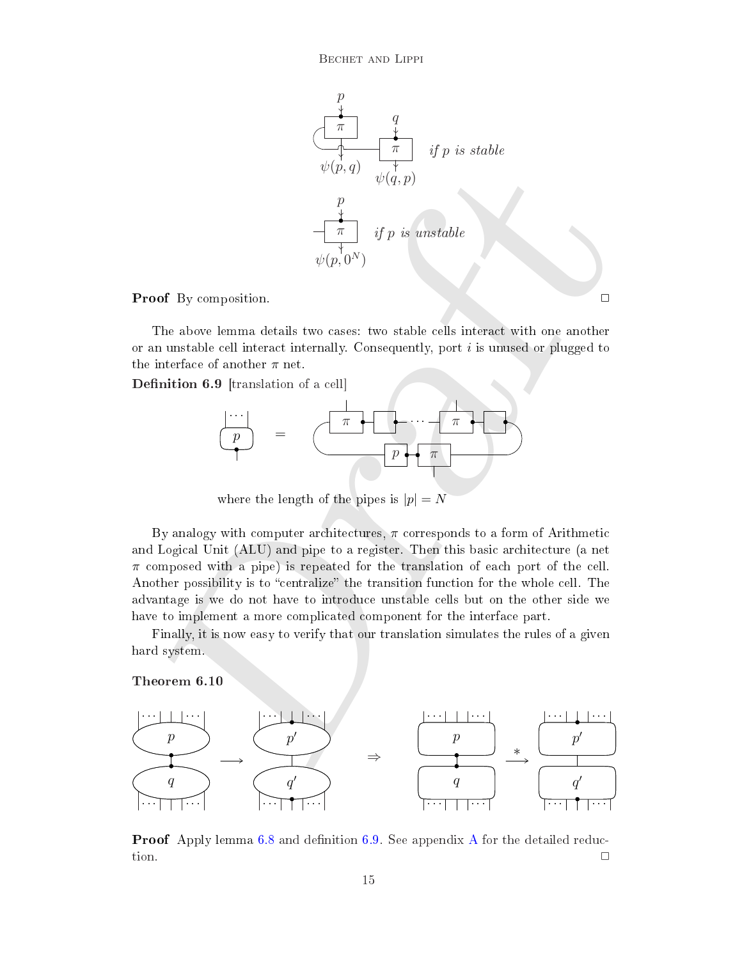

## **Proof** By composition.

The above lemma details two cases: two stable cells interact with one another or an unstable cell interact internally. Consequently, port  $i$  is unused or plugged to the interface of another  $\pi$  net.

<span id="page-14-0"></span>elle eller en en en den en de an de an de an de an de an de an de an de an de an de an de an de an de an de an



where the length of the pipes is  $|p| = N$ 

 $\psi(p,q)$ <br>  $\psi(p,q)$ <br>  $\frac{p}{\sqrt{q_1,p_2}}$ <br>  $\frac{p}{\sqrt{q_2,p_1}}$ <br>  $\psi(p,0^N)$ <br>
bod By composition.<br>
The above lemma details two cases: two stable cells interact with one another<br>
interface of notable cell interact thermally. Consequ By analogy with computer architectures,  $\pi$  corresponds to a form of Arithmetic and Logical Unit (ALU) and pipe to a register. Then this basic architecture (a net  $\pi$  composed with a pipe) is repeated for the translation of each port of the cell. Another possibility is to "centralize" the transition function for the whole cell. The advantage is we do not have to introdu
e unstable ells but on the other side we have to implement a more complicated component for the interface part.

Finally, it is now easy to verify that our translation simulates the rules of a given hard system.

<span id="page-14-1"></span>

Proof Apply lemma [6.8](#page-13-0) and denition [6.9.](#page-14-0) See appendix [A](#page-16-0) for the detailed redu
 tion.  $\Box$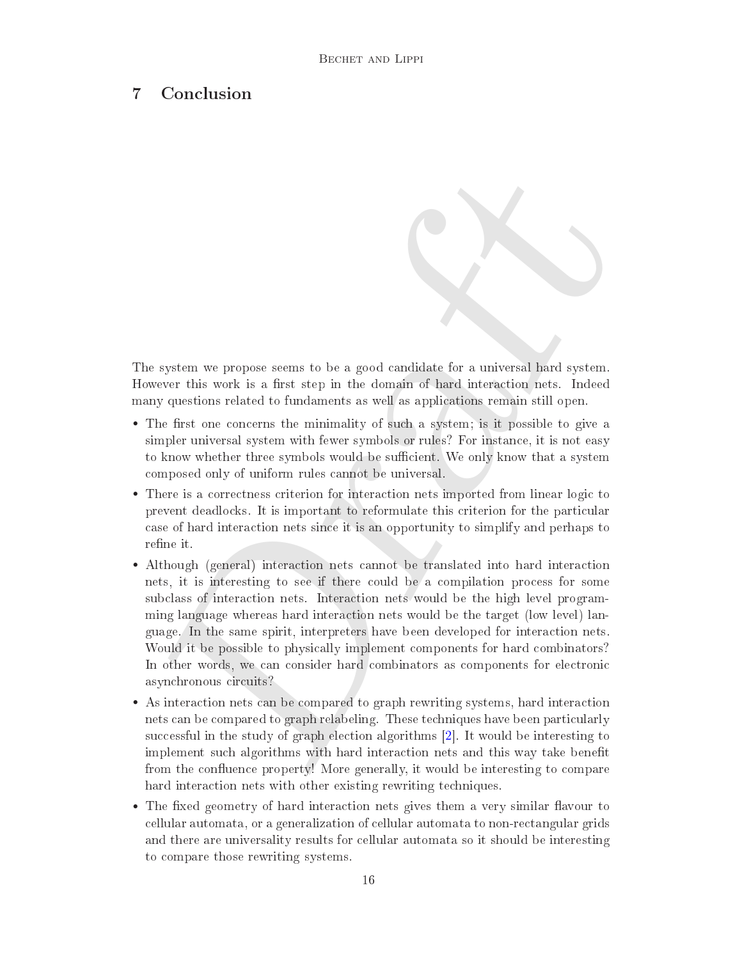## 7 Con
lusion

The system we propose seems to be a good candidate for a universal hard system. However this work is a first step in the domain of hard interaction nets. Indeed many questions related to fundaments as well as appli
ations remain still open.

- The first one concerns the minimality of such a system; is it possible to give a simpler universal system with fewer symbols or rules? For instan
e, it is not easy to know whether three symbols would be sufficient. We only know that a system omposed only of uniform rules annot be universal.
- There is a correctness criterion for interaction nets imported from linear logic to prevent deadlocks. It is important to reformulate this criterion for the particular ase of hard intera
tion nets sin
e it is an opportunity to simplify and perhaps to refine it.
- system we propose seems to be a good candidate for a universal hard system,<br>wever this work is a first step in the domain of hard interaction nets. Indeed<br>by questions related to fundaments as well as applications remain • Although (general) interaction nets cannot be translated into hard interaction nets, it is interesting to see if there ould be a ompilation pro
ess for some sub
lass of intera
tion nets. Intera
tion nets would be the high level programming language whereas hard intera
tion nets would be the target (low level) language. In the same spirit, interpreters have been developed for intera
tion nets. Would it be possible to physically implement components for hard combinators? In other words, we can consider hard combinators as components for electronic asyn
hronous ir
uits?
- As interaction nets can be compared to graph rewriting systems, hard interaction nets can be compared to graph relabeling. These techniques have been particularly successful in the study of graph election algorithms  $[2]$ . It would be interesting to implement such algorithms with hard interaction nets and this way take benefit from the confluence property! More generally, it would be interesting to compare hard interaction nets with other existing rewriting techniques.
- The fixed geometry of hard interaction nets gives them a very similar flavour to ellular automata, or a generalization of ellular automata to non-re
tangular grids and there are universality results for ellular automata so it should be interesting to ompare those rewriting systems.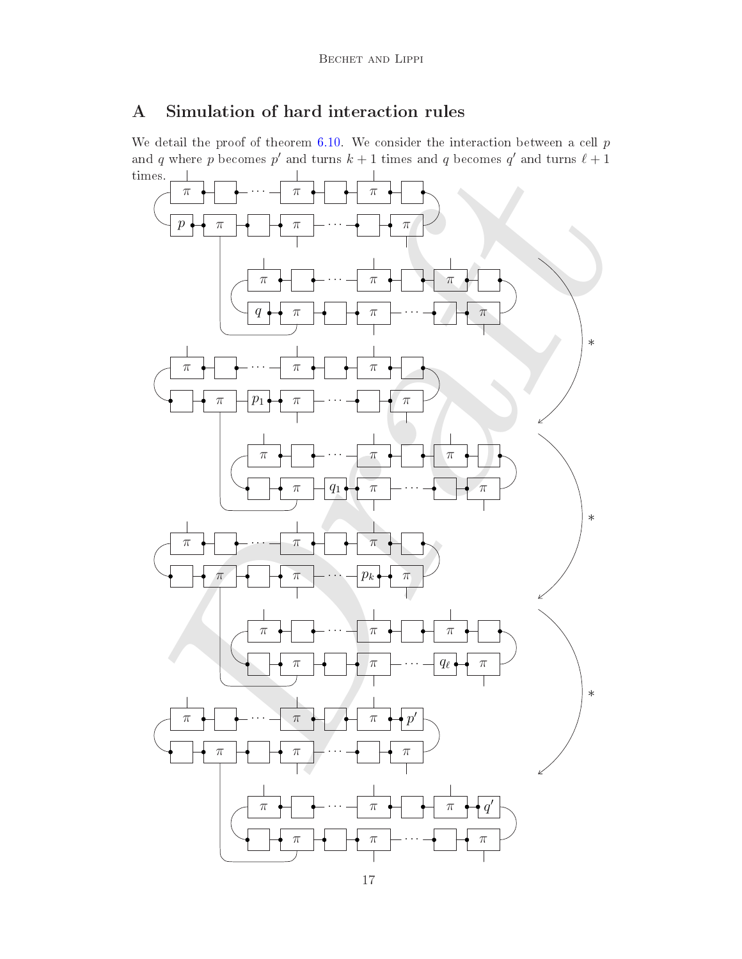## <span id="page-16-0"></span>A Simulation of hard interaction rules

We detail the proof of theorem  $6.10$ . We consider the interaction between a cell  $p$ and q where p becomes p' and turns  $k + 1$  times and q becomes q' and turns  $\ell + 1$ times.